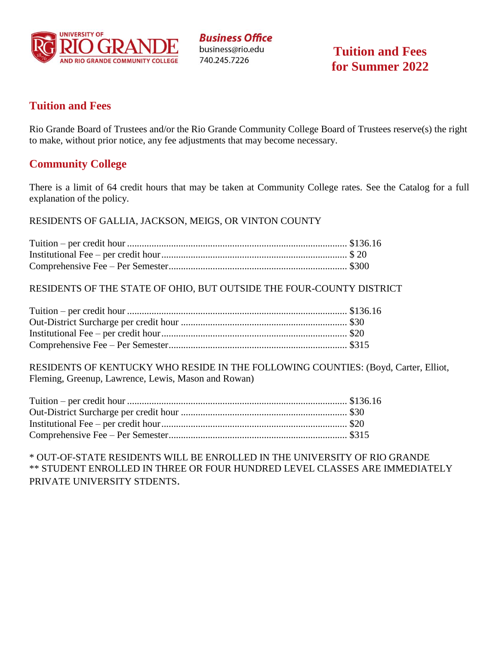

**Business Office** business@rio.edu 740.245.7226

**Tuition and Fees for Summer 2022**

### **Tuition and Fees**

Rio Grande Board of Trustees and/or the Rio Grande Community College Board of Trustees reserve(s) the right to make, without prior notice, any fee adjustments that may become necessary.

### **Community College**

There is a limit of 64 credit hours that may be taken at Community College rates. See the Catalog for a full explanation of the policy.

RESIDENTS OF GALLIA, JACKSON, MEIGS, OR VINTON COUNTY

RESIDENTS OF THE STATE OF OHIO, BUT OUTSIDE THE FOUR-COUNTY DISTRICT

RESIDENTS OF KENTUCKY WHO RESIDE IN THE FOLLOWING COUNTIES: (Boyd, Carter, Elliot, Fleming, Greenup, Lawrence, Lewis, Mason and Rowan)

\* OUT-OF-STATE RESIDENTS WILL BE ENROLLED IN THE UNIVERSITY OF RIO GRANDE \*\* STUDENT ENROLLED IN THREE OR FOUR HUNDRED LEVEL CLASSES ARE IMMEDIATELY PRIVATE UNIVERSITY STDENTS.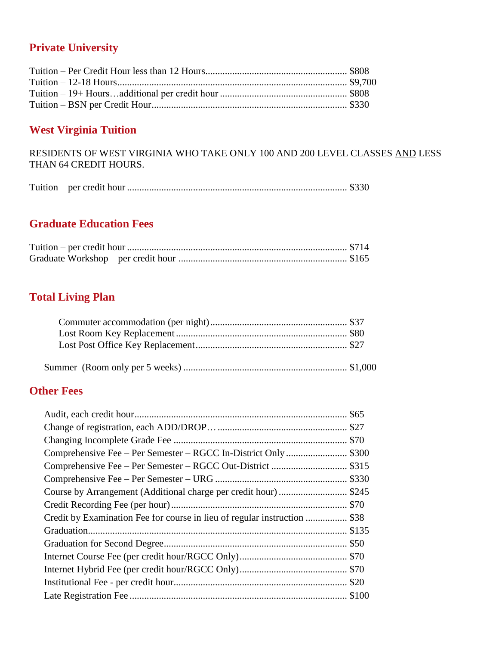# **Private University**

## **West Virginia Tuition**

RESIDENTS OF WEST VIRGINIA WHO TAKE ONLY 100 AND 200 LEVEL CLASSES AND LESS THAN 64 CREDIT HOURS.

|--|--|

# **Graduate Education Fees**

# **Total Living Plan**

## **Other Fees**

| Course by Arrangement (Additional charge per credit hour) \$245           |
|---------------------------------------------------------------------------|
|                                                                           |
| Credit by Examination Fee for course in lieu of regular instruction  \$38 |
|                                                                           |
|                                                                           |
|                                                                           |
|                                                                           |
|                                                                           |
|                                                                           |
|                                                                           |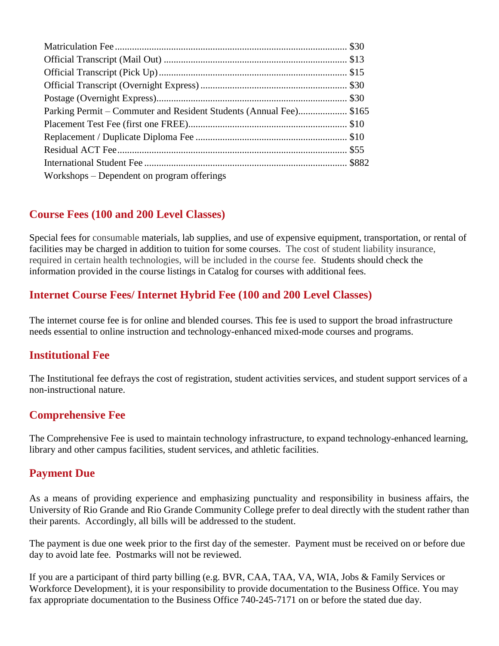| Parking Permit – Commuter and Resident Students (Annual Fee) \$165 |  |
|--------------------------------------------------------------------|--|
|                                                                    |  |
|                                                                    |  |
|                                                                    |  |
|                                                                    |  |
| Workshops – Dependent on program offerings                         |  |
|                                                                    |  |

## **Course Fees (100 and 200 Level Classes)**

Special fees for consumable materials, lab supplies, and use of expensive equipment, transportation, or rental of facilities may be charged in addition to tuition for some courses. The cost of student liability insurance, required in certain health technologies, will be included in the course fee. Students should check the information provided in the course listings in Catalog for courses with additional fees.

## **Internet Course Fees/ Internet Hybrid Fee (100 and 200 Level Classes)**

The internet course fee is for online and blended courses. This fee is used to support the broad infrastructure needs essential to online instruction and technology-enhanced mixed-mode courses and programs.

## **Institutional Fee**

The Institutional fee defrays the cost of registration, student activities services, and student support services of a non-instructional nature.

# **Comprehensive Fee**

The Comprehensive Fee is used to maintain technology infrastructure, to expand technology-enhanced learning, library and other campus facilities, student services, and athletic facilities.

## **Payment Due**

As a means of providing experience and emphasizing punctuality and responsibility in business affairs, the University of Rio Grande and Rio Grande Community College prefer to deal directly with the student rather than their parents. Accordingly, all bills will be addressed to the student.

The payment is due one week prior to the first day of the semester. Payment must be received on or before due day to avoid late fee. Postmarks will not be reviewed.

If you are a participant of third party billing (e.g. BVR, CAA, TAA, VA, WIA, Jobs & Family Services or Workforce Development), it is your responsibility to provide documentation to the Business Office. You may fax appropriate documentation to the Business Office 740-245-7171 on or before the stated due day.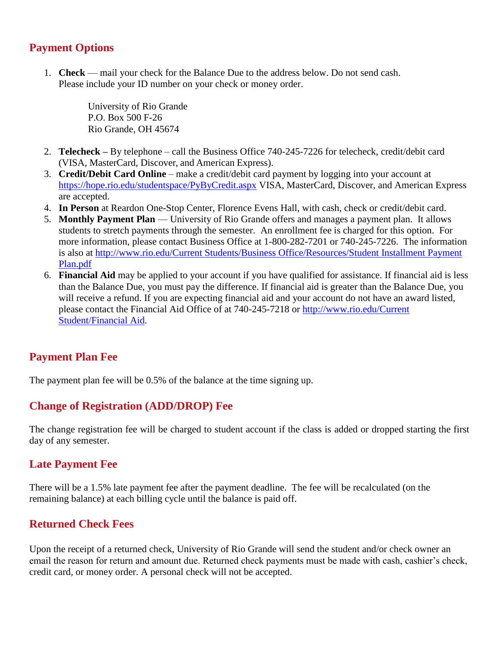## **Payment Options**

1. **Check** — mail your check for the Balance Due to the address below. Do not send cash. Please include your ID number on your check or money order.

> University of Rio Grande P.O. Box 500 F-26 Rio Grande, OH 45674

- 2. **Telecheck –** By telephone call the Business Office 740-245-7226 for telecheck, credit/debit card (VISA, MasterCard, Discover, and American Express).
- 3. **Credit/Debit Card Online**  make a credit/debit card payment by logging into your account at <https://hope.rio.edu/studentspace/PyByCredit.aspx> VISA, MasterCard, Discover, and American Express are accepted.
- 4. **In Person** at Reardon One-Stop Center, Florence Evens Hall, with cash, check or credit/debit card.
- 5. **Monthly Payment Plan** University of Rio Grande offers and manages a payment plan. It allows students to stretch payments through the semester. An enrollment fee is charged for this option. For more information, please contact Business Office at 1-800-282-7201 or 740-245-7226. The information is also at [http://www.rio.edu/Current Students/Business Office/Resources/Student Installment Payment](http://www.rio.edu/Current%20Students/Business%20Office/Resources/Student%20Installment%20Payment%20Plan.pdf)  [Plan.pdf](http://www.rio.edu/Current%20Students/Business%20Office/Resources/Student%20Installment%20Payment%20Plan.pdf)
- 6. **Financial Aid** may be applied to your account if you have qualified for assistance. If financial aid is less than the Balance Due, you must pay the difference. If financial aid is greater than the Balance Due, you will receive a refund. If you are expecting financial aid and your account do not have an award listed, please contact the Financial Aid Office of at 740-245-7218 or [http://www.rio.edu/Current](http://www.rio.edu/Current%20Student/Financial%20Aid)  [Student/Financial Aid.](http://www.rio.edu/Current%20Student/Financial%20Aid)

## **Payment Plan Fee**

The payment plan fee will be 0.5% of the balance at the time signing up.

## **Change of Registration (ADD/DROP) Fee**

The change registration fee will be charged to student account if the class is added or dropped starting the first day of any semester.

### **Late Payment Fee**

There will be a 1.5% late payment fee after the payment deadline. The fee will be recalculated (on the remaining balance) at each billing cycle until the balance is paid off.

## **Returned Check Fees**

Upon the receipt of a returned check, University of Rio Grande will send the student and/or check owner an email the reason for return and amount due. Returned check payments must be made with cash, cashier's check, credit card, or money order. A personal check will not be accepted.